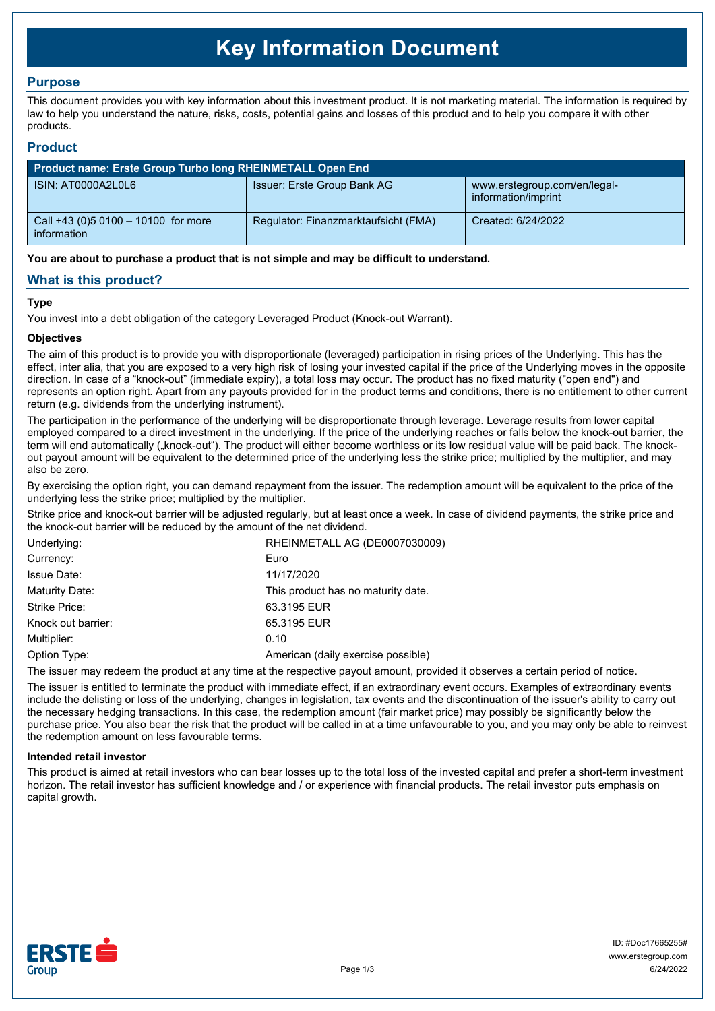# **Key Information Document**

## **Purpose**

This document provides you with key information about this investment product. It is not marketing material. The information is required by law to help you understand the nature, risks, costs, potential gains and losses of this product and to help you compare it with other products.

### **Product**

| Product name: Erste Group Turbo long RHEINMETALL Open End |                                      |                                                     |  |  |
|-----------------------------------------------------------|--------------------------------------|-----------------------------------------------------|--|--|
| ISIN: AT0000A2L0L6                                        | Issuer: Erste Group Bank AG          | www.erstegroup.com/en/legal-<br>information/imprint |  |  |
| Call +43 (0) 5 0100 - 10100 for more<br>information       | Regulator: Finanzmarktaufsicht (FMA) | Created: 6/24/2022                                  |  |  |

**You are about to purchase a product that is not simple and may be difficult to understand.**

## **What is this product?**

#### **Type**

You invest into a debt obligation of the category Leveraged Product (Knock-out Warrant).

#### **Objectives**

The aim of this product is to provide you with disproportionate (leveraged) participation in rising prices of the Underlying. This has the effect, inter alia, that you are exposed to a very high risk of losing your invested capital if the price of the Underlying moves in the opposite direction. In case of a "knock-out" (immediate expiry), a total loss may occur. The product has no fixed maturity ("open end") and represents an option right. Apart from any payouts provided for in the product terms and conditions, there is no entitlement to other current return (e.g. dividends from the underlying instrument).

The participation in the performance of the underlying will be disproportionate through leverage. Leverage results from lower capital employed compared to a direct investment in the underlying. If the price of the underlying reaches or falls below the knock-out barrier, the term will end automatically ("knock-out"). The product will either become worthless or its low residual value will be paid back. The knockout payout amount will be equivalent to the determined price of the underlying less the strike price; multiplied by the multiplier, and may also be zero.

By exercising the option right, you can demand repayment from the issuer. The redemption amount will be equivalent to the price of the underlying less the strike price; multiplied by the multiplier.

Strike price and knock-out barrier will be adjusted regularly, but at least once a week. In case of dividend payments, the strike price and the knock-out barrier will be reduced by the amount of the net dividend.

| Underlying:        | RHEINMETALL AG (DE0007030009)      |  |
|--------------------|------------------------------------|--|
| Currency:          | Euro                               |  |
| <b>Issue Date:</b> | 11/17/2020                         |  |
| Maturity Date:     | This product has no maturity date. |  |
| Strike Price:      | 63.3195 EUR                        |  |
| Knock out barrier: | 65.3195 EUR                        |  |
| Multiplier:        | 0.10                               |  |
| Option Type:       | American (daily exercise possible) |  |
|                    |                                    |  |

The issuer may redeem the product at any time at the respective payout amount, provided it observes a certain period of notice.

The issuer is entitled to terminate the product with immediate effect, if an extraordinary event occurs. Examples of extraordinary events include the delisting or loss of the underlying, changes in legislation, tax events and the discontinuation of the issuer's ability to carry out the necessary hedging transactions. In this case, the redemption amount (fair market price) may possibly be significantly below the purchase price. You also bear the risk that the product will be called in at a time unfavourable to you, and you may only be able to reinvest the redemption amount on less favourable terms.

#### **Intended retail investor**

This product is aimed at retail investors who can bear losses up to the total loss of the invested capital and prefer a short-term investment horizon. The retail investor has sufficient knowledge and / or experience with financial products. The retail investor puts emphasis on capital growth.

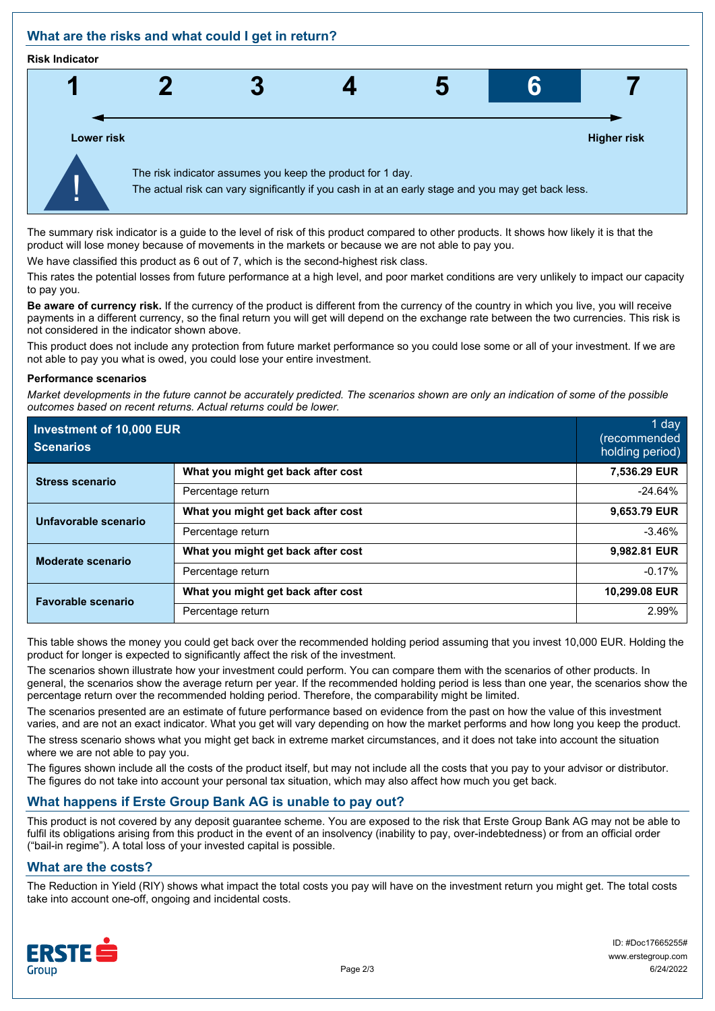## **What are the risks and what could I get in return?**

#### **Risk Indicator**



The summary risk indicator is a guide to the level of risk of this product compared to other products. It shows how likely it is that the product will lose money because of movements in the markets or because we are not able to pay you.

We have classified this product as 6 out of 7, which is the second-highest risk class.

This rates the potential losses from future performance at a high level, and poor market conditions are very unlikely to impact our capacity to pay you.

**Be aware of currency risk.** If the currency of the product is different from the currency of the country in which you live, you will receive payments in a different currency, so the final return you will get will depend on the exchange rate between the two currencies. This risk is not considered in the indicator shown above.

This product does not include any protection from future market performance so you could lose some or all of your investment. If we are not able to pay you what is owed, you could lose your entire investment.

#### **Performance scenarios**

*Market developments in the future cannot be accurately predicted. The scenarios shown are only an indication of some of the possible outcomes based on recent returns. Actual returns could be lower.*

| Investment of 10,000 EUR<br><b>Scenarios</b> |                                    | 1 day<br>(recommended<br>holding period) |
|----------------------------------------------|------------------------------------|------------------------------------------|
| <b>Stress scenario</b>                       | What you might get back after cost | 7,536.29 EUR                             |
|                                              | Percentage return                  | $-24.64%$                                |
| Unfavorable scenario                         | What you might get back after cost | 9,653.79 EUR                             |
|                                              | Percentage return                  | $-3.46%$                                 |
| <b>Moderate scenario</b>                     | What you might get back after cost | 9,982.81 EUR                             |
|                                              | Percentage return                  | $-0.17%$                                 |
| <b>Favorable scenario</b>                    | What you might get back after cost | 10,299.08 EUR                            |
|                                              | Percentage return                  | 2.99%                                    |

This table shows the money you could get back over the recommended holding period assuming that you invest 10,000 EUR. Holding the product for longer is expected to significantly affect the risk of the investment.

The scenarios shown illustrate how your investment could perform. You can compare them with the scenarios of other products. In general, the scenarios show the average return per year. If the recommended holding period is less than one year, the scenarios show the percentage return over the recommended holding period. Therefore, the comparability might be limited.

The scenarios presented are an estimate of future performance based on evidence from the past on how the value of this investment varies, and are not an exact indicator. What you get will vary depending on how the market performs and how long you keep the product.

The stress scenario shows what you might get back in extreme market circumstances, and it does not take into account the situation where we are not able to pay you.

The figures shown include all the costs of the product itself, but may not include all the costs that you pay to your advisor or distributor. The figures do not take into account your personal tax situation, which may also affect how much you get back.

## **What happens if Erste Group Bank AG is unable to pay out?**

This product is not covered by any deposit guarantee scheme. You are exposed to the risk that Erste Group Bank AG may not be able to fulfil its obligations arising from this product in the event of an insolvency (inability to pay, over-indebtedness) or from an official order ("bail-in regime"). A total loss of your invested capital is possible.

## **What are the costs?**

The Reduction in Yield (RIY) shows what impact the total costs you pay will have on the investment return you might get. The total costs take into account one-off, ongoing and incidental costs.